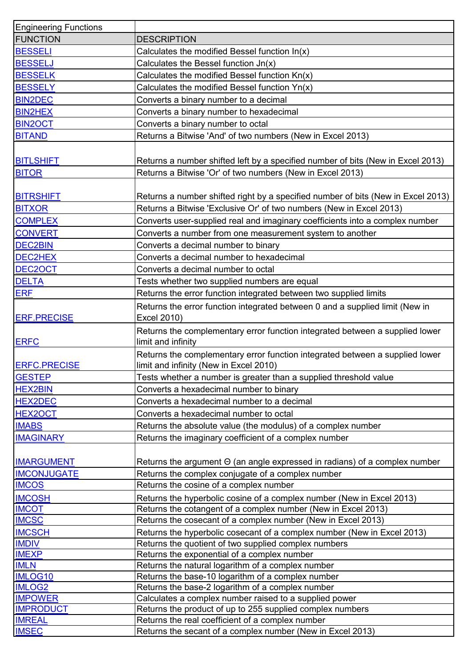| <b>Engineering Functions</b> |                                                                                                                        |
|------------------------------|------------------------------------------------------------------------------------------------------------------------|
| <b>FUNCTION</b>              | <b>DESCRIPTION</b>                                                                                                     |
| <b>BESSELI</b>               | Calculates the modified Bessel function $ln(x)$                                                                        |
| <b>BESSELJ</b>               | Calculates the Bessel function Jn(x)                                                                                   |
| <b>BESSELK</b>               | Calculates the modified Bessel function Kn(x)                                                                          |
| <b>BESSELY</b>               | Calculates the modified Bessel function Yn(x)                                                                          |
| <b>BIN2DEC</b>               | Converts a binary number to a decimal                                                                                  |
| <b>BIN2HEX</b>               | Converts a binary number to hexadecimal                                                                                |
| <b>BIN2OCT</b>               | Converts a binary number to octal                                                                                      |
| <b>BITAND</b>                | Returns a Bitwise 'And' of two numbers (New in Excel 2013)                                                             |
|                              |                                                                                                                        |
|                              |                                                                                                                        |
| <b>BITLSHIFT</b>             | Returns a number shifted left by a specified number of bits (New in Excel 2013)                                        |
| <b>BITOR</b>                 | Returns a Bitwise 'Or' of two numbers (New in Excel 2013)                                                              |
|                              |                                                                                                                        |
| <b>BITRSHIFT</b>             | Returns a number shifted right by a specified number of bits (New in Excel 2013)                                       |
| <b>BITXOR</b>                | Returns a Bitwise 'Exclusive Or' of two numbers (New in Excel 2013)                                                    |
| <b>COMPLEX</b>               | Converts user-supplied real and imaginary coefficients into a complex number                                           |
| <b>CONVERT</b>               | Converts a number from one measurement system to another                                                               |
| <b>DEC2BIN</b>               | Converts a decimal number to binary                                                                                    |
| DEC2HEX                      | Converts a decimal number to hexadecimal                                                                               |
| DEC2OCT                      | Converts a decimal number to octal                                                                                     |
| <b>DELTA</b>                 | Tests whether two supplied numbers are equal                                                                           |
| <b>ERF</b>                   | Returns the error function integrated between two supplied limits                                                      |
| <b>ERF.PRECISE</b>           | Returns the error function integrated between 0 and a supplied limit (New in<br>Excel 2010)                            |
| <b>ERFC</b>                  | Returns the complementary error function integrated between a supplied lower<br>limit and infinity                     |
| <b>ERFC.PRECISE</b>          | Returns the complementary error function integrated between a supplied lower<br>limit and infinity (New in Excel 2010) |
| <b>GESTEP</b>                | Tests whether a number is greater than a supplied threshold value                                                      |
| <b>HEX2BIN</b>               | Converts a hexadecimal number to binary                                                                                |
| <b>HEX2DEC</b>               | Converts a hexadecimal number to a decimal                                                                             |
| <b>HEX2OCT</b>               | Converts a hexadecimal number to octal                                                                                 |
| <b>IMABS</b>                 | Returns the absolute value (the modulus) of a complex number                                                           |
| <b>IMAGINARY</b>             | Returns the imaginary coefficient of a complex number                                                                  |
|                              |                                                                                                                        |
| <b>IMARGUMENT</b>            | Returns the argument $\Theta$ (an angle expressed in radians) of a complex number                                      |
| <b>IMCONJUGATE</b>           | Returns the complex conjugate of a complex number                                                                      |
| <b>IMCOS</b>                 | Returns the cosine of a complex number                                                                                 |
| <b>IMCOSH</b>                | Returns the hyperbolic cosine of a complex number (New in Excel 2013)                                                  |
| <b>IMCOT</b>                 | Returns the cotangent of a complex number (New in Excel 2013)                                                          |
| <b>IMCSC</b>                 | Returns the cosecant of a complex number (New in Excel 2013)                                                           |
| <b>IMCSCH</b>                | Returns the hyperbolic cosecant of a complex number (New in Excel 2013)                                                |
| <b>IMDIV</b>                 | Returns the quotient of two supplied complex numbers                                                                   |
| <b>IMEXP</b>                 | Returns the exponential of a complex number                                                                            |
| <b>IMLN</b>                  | Returns the natural logarithm of a complex number                                                                      |
| <b>IMLOG10</b>               | Returns the base-10 logarithm of a complex number                                                                      |
| <b>IMLOG2</b>                | Returns the base-2 logarithm of a complex number                                                                       |
| <b>IMPOWER</b>               | Calculates a complex number raised to a supplied power                                                                 |
| <b>IMPRODUCT</b>             | Returns the product of up to 255 supplied complex numbers                                                              |
| <b>IMREAL</b>                | Returns the real coefficient of a complex number                                                                       |
| <b>IMSEC</b>                 | Returns the secant of a complex number (New in Excel 2013)                                                             |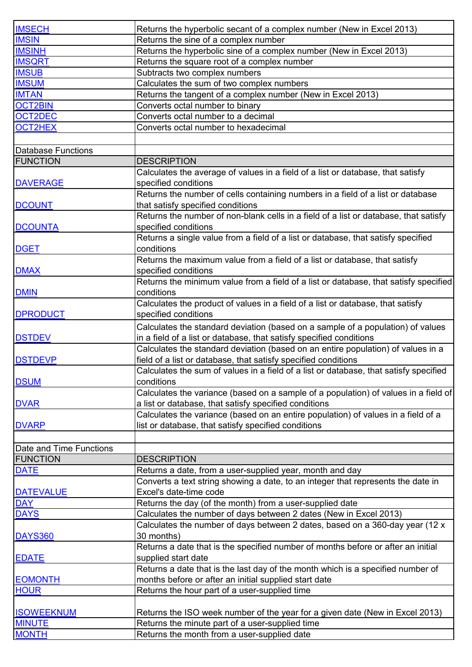| <b>IMSECH</b>           | Returns the hyperbolic secant of a complex number (New in Excel 2013)                 |
|-------------------------|---------------------------------------------------------------------------------------|
| <b>IMSIN</b>            | Returns the sine of a complex number                                                  |
| <b>IMSINH</b>           | Returns the hyperbolic sine of a complex number (New in Excel 2013)                   |
| <b>IMSQRT</b>           | Returns the square root of a complex number                                           |
| <b>IMSUB</b>            | Subtracts two complex numbers                                                         |
| <b>IMSUM</b>            | Calculates the sum of two complex numbers                                             |
| <b>IMTAN</b>            | Returns the tangent of a complex number (New in Excel 2013)                           |
| <b>OCT2BIN</b>          | Converts octal number to binary                                                       |
| OCT2DEC                 | Converts octal number to a decimal                                                    |
| OCT2HEX                 | Converts octal number to hexadecimal                                                  |
|                         |                                                                                       |
|                         |                                                                                       |
| Database Functions      |                                                                                       |
| <b>FUNCTION</b>         | <b>DESCRIPTION</b>                                                                    |
|                         | Calculates the average of values in a field of a list or database, that satisfy       |
| <b>DAVERAGE</b>         | specified conditions                                                                  |
|                         | Returns the number of cells containing numbers in a field of a list or database       |
| <b>DCOUNT</b>           | that satisfy specified conditions                                                     |
|                         | Returns the number of non-blank cells in a field of a list or database, that satisfy  |
| <b>DCOUNTA</b>          | specified conditions                                                                  |
|                         | Returns a single value from a field of a list or database, that satisfy specified     |
| <b>DGET</b>             | conditions                                                                            |
|                         | Returns the maximum value from a field of a list or database, that satisfy            |
| <b>DMAX</b>             | specified conditions                                                                  |
|                         | Returns the minimum value from a field of a list or database, that satisfy specified  |
| <b>DMIN</b>             | conditions                                                                            |
|                         | Calculates the product of values in a field of a list or database, that satisfy       |
| <b>DPRODUCT</b>         | specified conditions                                                                  |
|                         | Calculates the standard deviation (based on a sample of a population) of values       |
| <b>DSTDEV</b>           | in a field of a list or database, that satisfy specified conditions                   |
|                         | Calculates the standard deviation (based on an entire population) of values in a      |
| <b>DSTDEVP</b>          | field of a list or database, that satisfy specified conditions                        |
|                         | Calculates the sum of values in a field of a list or database, that satisfy specified |
| <b>DSUM</b>             | conditions                                                                            |
|                         | Calculates the variance (based on a sample of a population) of values in a field of   |
| <b>DVAR</b>             | a list or database, that satisfy specified conditions                                 |
|                         | Calculates the variance (based on an entire population) of values in a field of a     |
| <b>DVARP</b>            | list or database, that satisfy specified conditions                                   |
|                         |                                                                                       |
| Date and Time Functions |                                                                                       |
| <b>FUNCTION</b>         | <b>DESCRIPTION</b>                                                                    |
| <b>DATE</b>             | Returns a date, from a user-supplied year, month and day                              |
|                         | Converts a text string showing a date, to an integer that represents the date in      |
| <b>DATEVALUE</b>        | Excel's date-time code                                                                |
| <b>DAY</b>              | Returns the day (of the month) from a user-supplied date                              |
| <b>DAYS</b>             | Calculates the number of days between 2 dates (New in Excel 2013)                     |
|                         | Calculates the number of days between 2 dates, based on a 360-day year (12 x          |
| <b>DAYS360</b>          | 30 months)                                                                            |
|                         | Returns a date that is the specified number of months before or after an initial      |
|                         |                                                                                       |
| <b>EDATE</b>            | supplied start date                                                                   |
|                         | Returns a date that is the last day of the month which is a specified number of       |
| <b>EOMONTH</b>          | months before or after an initial supplied start date                                 |
| <b>HOUR</b>             | Returns the hour part of a user-supplied time                                         |
|                         |                                                                                       |
| <b>ISOWEEKNUM</b>       | Returns the ISO week number of the year for a given date (New in Excel 2013)          |
| <b>MINUTE</b>           | Returns the minute part of a user-supplied time                                       |
| <b>MONTH</b>            | Returns the month from a user-supplied date                                           |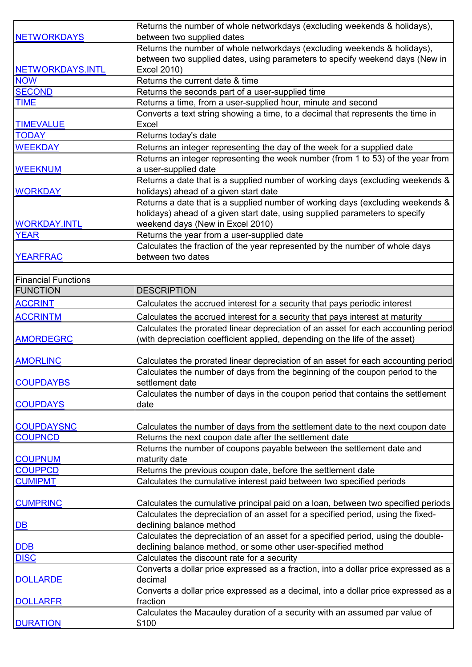|                            | Returns the number of whole networkdays (excluding weekends & holidays),            |
|----------------------------|-------------------------------------------------------------------------------------|
| <b>NETWORKDAYS</b>         | between two supplied dates                                                          |
|                            | Returns the number of whole networkdays (excluding weekends & holidays),            |
|                            | between two supplied dates, using parameters to specify weekend days (New in        |
| NETWORKDAYS.INTL           | Excel 2010)                                                                         |
| <b>NOW</b>                 | Returns the current date & time                                                     |
| <b>SECOND</b>              | Returns the seconds part of a user-supplied time                                    |
| <b>TIME</b>                | Returns a time, from a user-supplied hour, minute and second                        |
|                            | Converts a text string showing a time, to a decimal that represents the time in     |
| <b>TIMEVALUE</b>           | <b>Excel</b>                                                                        |
| <b>TODAY</b>               | Returns today's date                                                                |
| <b>WEEKDAY</b>             | Returns an integer representing the day of the week for a supplied date             |
|                            | Returns an integer representing the week number (from 1 to 53) of the year from     |
| <b>WEEKNUM</b>             | a user-supplied date                                                                |
|                            | Returns a date that is a supplied number of working days (excluding weekends &      |
| <b>WORKDAY</b>             | holidays) ahead of a given start date                                               |
|                            | Returns a date that is a supplied number of working days (excluding weekends &      |
|                            | holidays) ahead of a given start date, using supplied parameters to specify         |
| <b>WORKDAY.INTL</b>        | weekend days (New in Excel 2010)                                                    |
| <b>YEAR</b>                | Returns the year from a user-supplied date                                          |
|                            | Calculates the fraction of the year represented by the number of whole days         |
| <b>YEARFRAC</b>            | between two dates                                                                   |
|                            |                                                                                     |
| <b>Financial Functions</b> |                                                                                     |
| <b>FUNCTION</b>            | <b>DESCRIPTION</b>                                                                  |
| <b>ACCRINT</b>             | Calculates the accrued interest for a security that pays periodic interest          |
| <b>ACCRINTM</b>            | Calculates the accrued interest for a security that pays interest at maturity       |
|                            | Calculates the prorated linear depreciation of an asset for each accounting period  |
| <b>AMORDEGRC</b>           | (with depreciation coefficient applied, depending on the life of the asset)         |
|                            |                                                                                     |
| <b>AMORLINC</b>            | Calculates the prorated linear depreciation of an asset for each accounting period  |
|                            | Calculates the number of days from the beginning of the coupon period to the        |
| <b>COUPDAYBS</b>           | settlement date                                                                     |
|                            | Calculates the number of days in the coupon period that contains the settlement     |
| <b>COUPDAYS</b>            | date                                                                                |
|                            |                                                                                     |
| <b>COUPDAYSNC</b>          | Calculates the number of days from the settlement date to the next coupon date      |
| <b>COUPNCD</b>             | Returns the next coupon date after the settlement date                              |
|                            | Returns the number of coupons payable between the settlement date and               |
| <b>COUPNUM</b>             | maturity date                                                                       |
| <b>COUPPCD</b>             | Returns the previous coupon date, before the settlement date                        |
| <b>CUMIPMT</b>             | Calculates the cumulative interest paid between two specified periods               |
|                            |                                                                                     |
| <b>CUMPRINC</b>            | Calculates the cumulative principal paid on a loan, between two specified periods   |
|                            | Calculates the depreciation of an asset for a specified period, using the fixed-    |
| <b>DB</b>                  | declining balance method                                                            |
|                            | Calculates the depreciation of an asset for a specified period, using the double-   |
| DDB                        | declining balance method, or some other user-specified method                       |
| <b>DISC</b>                | Calculates the discount rate for a security                                         |
|                            | Converts a dollar price expressed as a fraction, into a dollar price expressed as a |
| <b>DOLLARDE</b>            | decimal                                                                             |
|                            | Converts a dollar price expressed as a decimal, into a dollar price expressed as a  |
| <b>DOLLARFR</b>            | fraction                                                                            |
|                            | Calculates the Macauley duration of a security with an assumed par value of         |
| <b>DURATION</b>            | \$100                                                                               |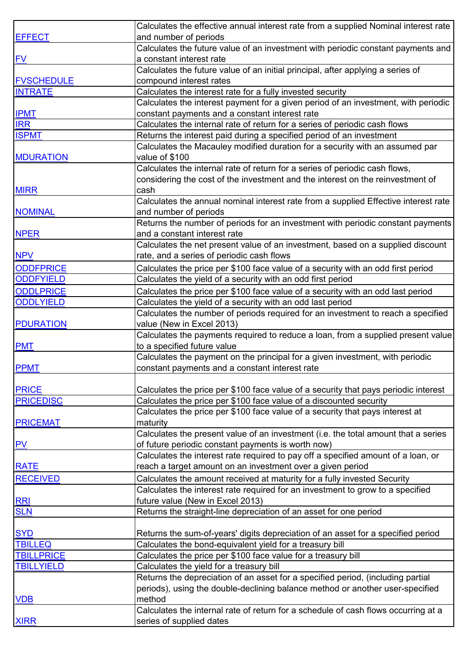|                   | Calculates the effective annual interest rate from a supplied Nominal interest rate     |
|-------------------|-----------------------------------------------------------------------------------------|
| <b>EFFECT</b>     | and number of periods                                                                   |
|                   | Calculates the future value of an investment with periodic constant payments and        |
| EV                | a constant interest rate                                                                |
|                   | Calculates the future value of an initial principal, after applying a series of         |
| <b>FVSCHEDULE</b> | compound interest rates                                                                 |
| <b>INTRATE</b>    | Calculates the interest rate for a fully invested security                              |
|                   | Calculates the interest payment for a given period of an investment, with periodic      |
| <b>IPMT</b>       | constant payments and a constant interest rate                                          |
| <b>IRR</b>        | Calculates the internal rate of return for a series of periodic cash flows              |
| <b>ISPMT</b>      | Returns the interest paid during a specified period of an investment                    |
|                   | Calculates the Macauley modified duration for a security with an assumed par            |
| <b>MDURATION</b>  | value of \$100                                                                          |
|                   | Calculates the internal rate of return for a series of periodic cash flows,             |
|                   | considering the cost of the investment and the interest on the reinvestment of          |
| <b>MIRR</b>       | cash                                                                                    |
|                   | Calculates the annual nominal interest rate from a supplied Effective interest rate     |
| <b>NOMINAL</b>    | and number of periods                                                                   |
|                   | Returns the number of periods for an investment with periodic constant payments         |
| <b>NPER</b>       | and a constant interest rate                                                            |
|                   | Calculates the net present value of an investment, based on a supplied discount         |
| <b>NPV</b>        | rate, and a series of periodic cash flows                                               |
| <b>ODDFPRICE</b>  | Calculates the price per \$100 face value of a security with an odd first period        |
| <b>ODDFYIELD</b>  | Calculates the yield of a security with an odd first period                             |
| <b>ODDLPRICE</b>  | Calculates the price per \$100 face value of a security with an odd last period         |
| <b>ODDLYIELD</b>  | Calculates the yield of a security with an odd last period                              |
|                   | Calculates the number of periods required for an investment to reach a specified        |
| <b>PDURATION</b>  | value (New in Excel 2013)                                                               |
|                   | Calculates the payments required to reduce a loan, from a supplied present value        |
| <b>PMT</b>        | to a specified future value                                                             |
|                   | Calculates the payment on the principal for a given investment, with periodic           |
| <b>PPMT</b>       | constant payments and a constant interest rate                                          |
|                   |                                                                                         |
| <b>PRICE</b>      | Calculates the price per \$100 face value of a security that pays periodic interest     |
| <b>PRICEDISC</b>  | Calculates the price per \$100 face value of a discounted security                      |
|                   | Calculates the price per \$100 face value of a security that pays interest at           |
| <b>PRICEMAT</b>   | maturity                                                                                |
|                   | Calculates the present value of an investment (i.e. the total amount that a series      |
| <b>PV</b>         | of future periodic constant payments is worth now)                                      |
|                   | Calculates the interest rate required to pay off a specified amount of a loan, or       |
| <b>RATE</b>       | reach a target amount on an investment over a given period                              |
| <b>RECEIVED</b>   | Calculates the amount received at maturity for a fully invested Security                |
|                   | Calculates the interest rate required for an investment to grow to a specified          |
| <b>RRI</b>        | future value (New in Excel 2013)                                                        |
| <b>SLN</b>        | Returns the straight-line depreciation of an asset for one period                       |
|                   |                                                                                         |
| <b>SYD</b>        | Returns the sum-of-years' digits depreciation of an asset for a specified period        |
| <b>TBILLEQ</b>    | Calculates the bond-equivalent yield for a treasury bill                                |
| <b>TBILLPRICE</b> | Calculates the price per \$100 face value for a treasury bill                           |
| <b>TBILLYIELD</b> | Calculates the yield for a treasury bill                                                |
|                   | Returns the depreciation of an asset for a specified period, (including partial         |
|                   | periods), using the double-declining balance method or another user-specified<br>method |
| <b>VDB</b>        |                                                                                         |
|                   | Calculates the internal rate of return for a schedule of cash flows occurring at a      |
| <b>XIRR</b>       | series of supplied dates                                                                |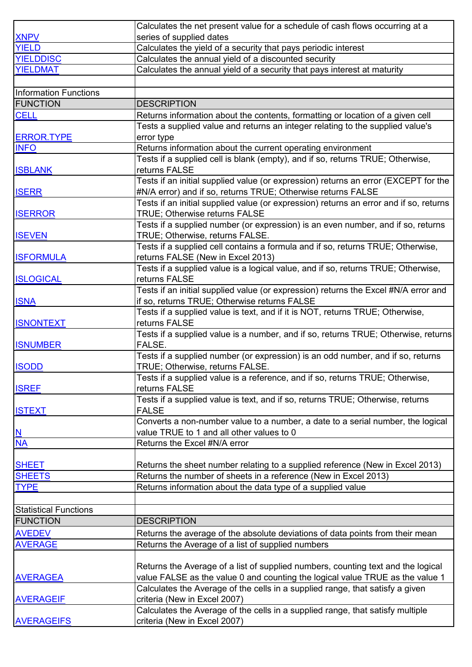|                              | Calculates the net present value for a schedule of cash flows occurring at a                                     |
|------------------------------|------------------------------------------------------------------------------------------------------------------|
| <b>XNPV</b>                  | series of supplied dates                                                                                         |
| <b>YIELD</b>                 | Calculates the yield of a security that pays periodic interest                                                   |
| <b>YIELDDISC</b>             | Calculates the annual yield of a discounted security                                                             |
| <b>YIELDMAT</b>              | Calculates the annual yield of a security that pays interest at maturity                                         |
|                              |                                                                                                                  |
| Information Functions        |                                                                                                                  |
| <b>FUNCTION</b>              | <b>DESCRIPTION</b>                                                                                               |
| <b>CELL</b>                  | Returns information about the contents, formatting or location of a given cell                                   |
|                              | Tests a supplied value and returns an integer relating to the supplied value's                                   |
| <b>ERROR.TYPE</b>            | error type                                                                                                       |
| <b>INFO</b>                  | Returns information about the current operating environment                                                      |
|                              | Tests if a supplied cell is blank (empty), and if so, returns TRUE; Otherwise,                                   |
| <b>ISBLANK</b>               | returns FALSE                                                                                                    |
|                              | Tests if an initial supplied value (or expression) returns an error (EXCEPT for the                              |
| <b>ISERR</b>                 | #N/A error) and if so, returns TRUE; Otherwise returns FALSE                                                     |
|                              | Tests if an initial supplied value (or expression) returns an error and if so, returns                           |
| <b>ISERROR</b>               | TRUE; Otherwise returns FALSE                                                                                    |
|                              | Tests if a supplied number (or expression) is an even number, and if so, returns                                 |
| <b>ISEVEN</b>                | TRUE; Otherwise, returns FALSE.                                                                                  |
|                              | Tests if a supplied cell contains a formula and if so, returns TRUE; Otherwise,                                  |
| <b>ISFORMULA</b>             | returns FALSE (New in Excel 2013)                                                                                |
|                              | Tests if a supplied value is a logical value, and if so, returns TRUE; Otherwise,                                |
| <b>ISLOGICAL</b>             | returns FALSE                                                                                                    |
|                              | Tests if an initial supplied value (or expression) returns the Excel #N/A error and                              |
| <b>ISNA</b>                  | if so, returns TRUE; Otherwise returns FALSE                                                                     |
|                              | Tests if a supplied value is text, and if it is NOT, returns TRUE; Otherwise,                                    |
| <b>ISNONTEXT</b>             | returns FALSE                                                                                                    |
|                              | Tests if a supplied value is a number, and if so, returns TRUE; Otherwise, returns                               |
| <b>ISNUMBER</b>              | FALSE.                                                                                                           |
|                              | Tests if a supplied number (or expression) is an odd number, and if so, returns                                  |
| <b>ISODD</b>                 | TRUE; Otherwise, returns FALSE.<br>Tests if a supplied value is a reference, and if so, returns TRUE; Otherwise, |
| <b>ISREF</b>                 | returns FALSE                                                                                                    |
|                              | Tests if a supplied value is text, and if so, returns TRUE; Otherwise, returns                                   |
| <b>ISTEXT</b>                | <b>FALSE</b>                                                                                                     |
|                              | Converts a non-number value to a number, a date to a serial number, the logical                                  |
| $\underline{\mathbf{N}}$     | value TRUE to 1 and all other values to 0                                                                        |
| <b>NA</b>                    | Returns the Excel #N/A error                                                                                     |
|                              |                                                                                                                  |
| <b>SHEET</b>                 | Returns the sheet number relating to a supplied reference (New in Excel 2013)                                    |
| <b>SHEETS</b>                | Returns the number of sheets in a reference (New in Excel 2013)                                                  |
| <b>TYPE</b>                  | Returns information about the data type of a supplied value                                                      |
|                              |                                                                                                                  |
| <b>Statistical Functions</b> |                                                                                                                  |
| <b>FUNCTION</b>              | <b>DESCRIPTION</b>                                                                                               |
| <b>AVEDEV</b>                | Returns the average of the absolute deviations of data points from their mean                                    |
| <b>AVERAGE</b>               | Returns the Average of a list of supplied numbers                                                                |
|                              |                                                                                                                  |
|                              | Returns the Average of a list of supplied numbers, counting text and the logical                                 |
| <b>AVERAGEA</b>              | value FALSE as the value 0 and counting the logical value TRUE as the value 1                                    |
|                              | Calculates the Average of the cells in a supplied range, that satisfy a given                                    |
| <b>AVERAGEIF</b>             | criteria (New in Excel 2007)                                                                                     |
|                              | Calculates the Average of the cells in a supplied range, that satisfy multiple                                   |
| <b>AVERAGEIFS</b>            | criteria (New in Excel 2007)                                                                                     |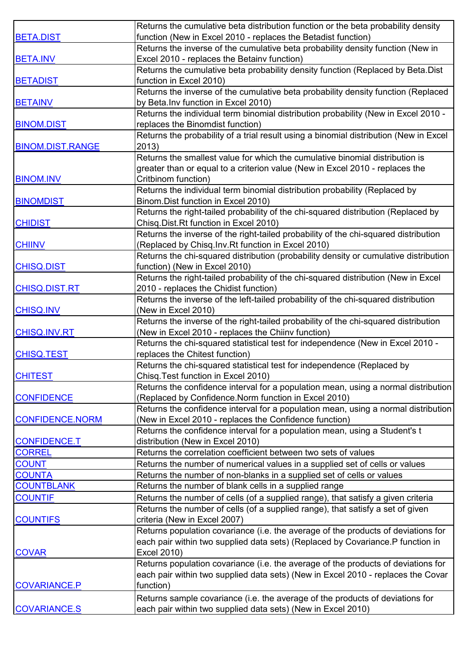|                         | Returns the cumulative beta distribution function or the beta probability density     |
|-------------------------|---------------------------------------------------------------------------------------|
| <b>BETA.DIST</b>        | function (New in Excel 2010 - replaces the Betadist function)                         |
|                         | Returns the inverse of the cumulative beta probability density function (New in       |
| <b>BETA.INV</b>         | Excel 2010 - replaces the Betainv function)                                           |
|                         | Returns the cumulative beta probability density function (Replaced by Beta.Dist       |
| <b>BETADIST</b>         | function in Excel 2010)                                                               |
|                         | Returns the inverse of the cumulative beta probability density function (Replaced     |
| <b>BETAINV</b>          | by Beta. Inv function in Excel 2010)                                                  |
|                         | Returns the individual term binomial distribution probability (New in Excel 2010 -    |
| <b>BINOM.DIST</b>       | replaces the Binomdist function)                                                      |
|                         | Returns the probability of a trial result using a binomial distribution (New in Excel |
| <b>BINOM.DIST.RANGE</b> | 2013)                                                                                 |
|                         | Returns the smallest value for which the cumulative binomial distribution is          |
|                         | greater than or equal to a criterion value (New in Excel 2010 - replaces the          |
| <b>BINOM.INV</b>        | Critbinom function)                                                                   |
|                         | Returns the individual term binomial distribution probability (Replaced by            |
| <b>BINOMDIST</b>        | Binom. Dist function in Excel 2010)                                                   |
|                         | Returns the right-tailed probability of the chi-squared distribution (Replaced by     |
| <b>CHIDIST</b>          | Chisq.Dist.Rt function in Excel 2010)                                                 |
|                         | Returns the inverse of the right-tailed probability of the chi-squared distribution   |
| <b>CHIINV</b>           | (Replaced by Chisq.Inv.Rt function in Excel 2010)                                     |
|                         | Returns the chi-squared distribution (probability density or cumulative distribution  |
| <b>CHISQ.DIST</b>       | function) (New in Excel 2010)                                                         |
|                         | Returns the right-tailed probability of the chi-squared distribution (New in Excel    |
| <b>CHISQ.DIST.RT</b>    | 2010 - replaces the Chidist function)                                                 |
|                         | Returns the inverse of the left-tailed probability of the chi-squared distribution    |
| <b>CHISQ.INV</b>        | (New in Excel 2010)                                                                   |
|                         | Returns the inverse of the right-tailed probability of the chi-squared distribution   |
| <b>CHISQ.INV.RT</b>     | (New in Excel 2010 - replaces the Chiinv function)                                    |
|                         | Returns the chi-squared statistical test for independence (New in Excel 2010 -        |
| <b>CHISQ.TEST</b>       | replaces the Chitest function)                                                        |
|                         | Returns the chi-squared statistical test for independence (Replaced by                |
| <b>CHITEST</b>          | Chisq. Test function in Excel 2010)                                                   |
|                         | Returns the confidence interval for a population mean, using a normal distribution    |
| <b>CONFIDENCE</b>       | (Replaced by Confidence. Norm function in Excel 2010)                                 |
|                         | Returns the confidence interval for a population mean, using a normal distribution    |
| <b>CONFIDENCE.NORM</b>  | (New in Excel 2010 - replaces the Confidence function)                                |
|                         | Returns the confidence interval for a population mean, using a Student's t            |
| <b>CONFIDENCE.T</b>     | distribution (New in Excel 2010)                                                      |
| <b>CORREL</b>           | Returns the correlation coefficient between two sets of values                        |
| <b>COUNT</b>            | Returns the number of numerical values in a supplied set of cells or values           |
| <b>COUNTA</b>           | Returns the number of non-blanks in a supplied set of cells or values                 |
| <b>COUNTBLANK</b>       | Returns the number of blank cells in a supplied range                                 |
| <b>COUNTIF</b>          | Returns the number of cells (of a supplied range), that satisfy a given criteria      |
|                         | Returns the number of cells (of a supplied range), that satisfy a set of given        |
| <b>COUNTIFS</b>         | criteria (New in Excel 2007)                                                          |
|                         | Returns population covariance (i.e. the average of the products of deviations for     |
|                         | each pair within two supplied data sets) (Replaced by Covariance.P function in        |
| <b>COVAR</b>            | Excel 2010)                                                                           |
|                         | Returns population covariance (i.e. the average of the products of deviations for     |
|                         | each pair within two supplied data sets) (New in Excel 2010 - replaces the Covar      |
| <b>COVARIANCE.P</b>     | function)                                                                             |
|                         | Returns sample covariance (i.e. the average of the products of deviations for         |
| <b>COVARIANCE.S</b>     | each pair within two supplied data sets) (New in Excel 2010)                          |
|                         |                                                                                       |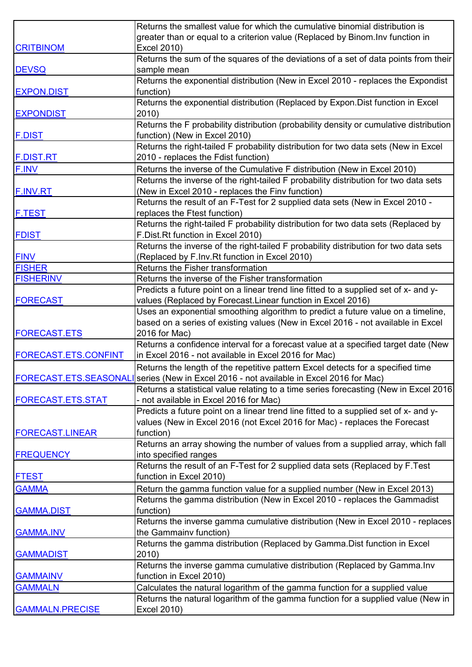|                          | Returns the smallest value for which the cumulative binomial distribution is            |
|--------------------------|-----------------------------------------------------------------------------------------|
|                          | greater than or equal to a criterion value (Replaced by Binom. Inv function in          |
| <b>CRITBINOM</b>         | Excel 2010)                                                                             |
|                          | Returns the sum of the squares of the deviations of a set of data points from their     |
| <b>DEVSQ</b>             | sample mean                                                                             |
|                          | Returns the exponential distribution (New in Excel 2010 - replaces the Expondist        |
| <b>EXPON.DIST</b>        | function)                                                                               |
|                          | Returns the exponential distribution (Replaced by Expon.Dist function in Excel          |
| <b>EXPONDIST</b>         | 2010)                                                                                   |
|                          | Returns the F probability distribution (probability density or cumulative distribution  |
| <b>F.DIST</b>            | function) (New in Excel 2010)                                                           |
|                          | Returns the right-tailed F probability distribution for two data sets (New in Excel     |
| <b>F.DIST.RT</b>         | 2010 - replaces the Fdist function)                                                     |
| F.INV                    | Returns the inverse of the Cumulative F distribution (New in Excel 2010)                |
|                          | Returns the inverse of the right-tailed F probability distribution for two data sets    |
| <b>F.INV.RT</b>          | (New in Excel 2010 - replaces the Finv function)                                        |
|                          | Returns the result of an F-Test for 2 supplied data sets (New in Excel 2010 -           |
| <b>F.TEST</b>            | replaces the Ftest function)                                                            |
|                          | Returns the right-tailed F probability distribution for two data sets (Replaced by      |
|                          | F.Dist.Rt function in Excel 2010)                                                       |
| <b>FDIST</b>             |                                                                                         |
|                          | Returns the inverse of the right-tailed F probability distribution for two data sets    |
| <b>FINV</b>              | (Replaced by F.Inv.Rt function in Excel 2010)                                           |
| <b>FISHER</b>            | Returns the Fisher transformation                                                       |
| <b>FISHERINV</b>         | Returns the inverse of the Fisher transformation                                        |
|                          | Predicts a future point on a linear trend line fitted to a supplied set of x- and y-    |
| <b>FORECAST</b>          | values (Replaced by Forecast.Linear function in Excel 2016)                             |
|                          | Uses an exponential smoothing algorithm to predict a future value on a timeline,        |
|                          | based on a series of existing values (New in Excel 2016 - not available in Excel        |
| <b>FORECAST.ETS</b>      | 2016 for Mac)                                                                           |
|                          | Returns a confidence interval for a forecast value at a specified target date (New      |
| FORECAST.ETS.CONFINT     | in Excel 2016 - not available in Excel 2016 for Mac)                                    |
|                          | Returns the length of the repetitive pattern Excel detects for a specified time         |
|                          | FORECAST.ETS.SEASONALI series (New in Excel 2016 - not available in Excel 2016 for Mac) |
|                          | Returns a statistical value relating to a time series forecasting (New in Excel 2016)   |
| <b>FORECAST.ETS.STAT</b> | - not available in Excel 2016 for Mac)                                                  |
|                          | Predicts a future point on a linear trend line fitted to a supplied set of x- and y-    |
|                          | values (New in Excel 2016 (not Excel 2016 for Mac) - replaces the Forecast              |
| <b>FORECAST.LINEAR</b>   | function)                                                                               |
|                          | Returns an array showing the number of values from a supplied array, which fall         |
| <b>FREQUENCY</b>         | into specified ranges                                                                   |
|                          | Returns the result of an F-Test for 2 supplied data sets (Replaced by F.Test            |
| <b>FTEST</b>             | function in Excel 2010)                                                                 |
| <b>GAMMA</b>             | Return the gamma function value for a supplied number (New in Excel 2013)               |
|                          | Returns the gamma distribution (New in Excel 2010 - replaces the Gammadist              |
| <b>GAMMA.DIST</b>        | function)                                                                               |
|                          | Returns the inverse gamma cumulative distribution (New in Excel 2010 - replaces         |
| <b>GAMMA.INV</b>         | the Gammainv function)                                                                  |
|                          | Returns the gamma distribution (Replaced by Gamma. Dist function in Excel               |
| <b>GAMMADIST</b>         | 2010)                                                                                   |
|                          | Returns the inverse gamma cumulative distribution (Replaced by Gamma. Inv               |
| <b>GAMMAINV</b>          | function in Excel 2010)                                                                 |
| <b>GAMMALN</b>           | Calculates the natural logarithm of the gamma function for a supplied value             |
|                          | Returns the natural logarithm of the gamma function for a supplied value (New in        |
| <b>GAMMALN.PRECISE</b>   | Excel 2010)                                                                             |
|                          |                                                                                         |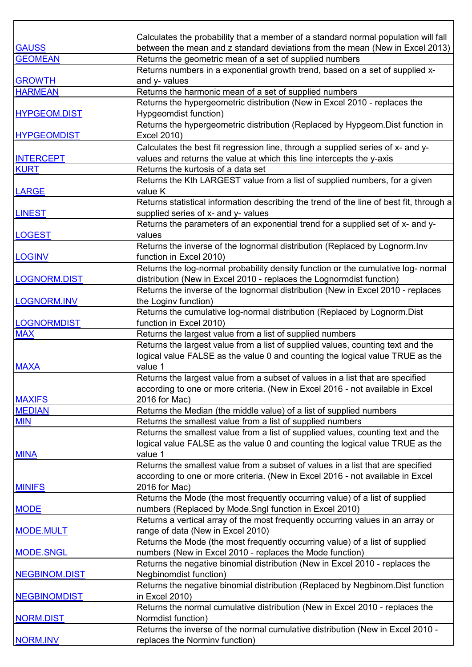|                     | Calculates the probability that a member of a standard normal population will fall       |
|---------------------|------------------------------------------------------------------------------------------|
| <b>GAUSS</b>        | between the mean and z standard deviations from the mean (New in Excel 2013)             |
| <b>GEOMEAN</b>      | Returns the geometric mean of a set of supplied numbers                                  |
|                     | Returns numbers in a exponential growth trend, based on a set of supplied x-             |
| <b>GROWTH</b>       | and y- values                                                                            |
| <b>HARMEAN</b>      | Returns the harmonic mean of a set of supplied numbers                                   |
|                     | Returns the hypergeometric distribution (New in Excel 2010 - replaces the                |
| <b>HYPGEOM.DIST</b> | Hypgeomdist function)                                                                    |
|                     | Returns the hypergeometric distribution (Replaced by Hypgeom.Dist function in            |
| <b>HYPGEOMDIST</b>  | Excel 2010)                                                                              |
|                     | Calculates the best fit regression line, through a supplied series of x- and y-          |
| <b>INTERCEPT</b>    | values and returns the value at which this line intercepts the y-axis                    |
| <b>KURT</b>         | Returns the kurtosis of a data set                                                       |
|                     | Returns the Kth LARGEST value from a list of supplied numbers, for a given               |
| <b>LARGE</b>        | value K                                                                                  |
|                     | Returns statistical information describing the trend of the line of best fit, through a  |
| <b>LINEST</b>       | supplied series of x- and y- values                                                      |
|                     | Returns the parameters of an exponential trend for a supplied set of x- and y-           |
| <b>LOGEST</b>       | values                                                                                   |
|                     | Returns the inverse of the lognormal distribution (Replaced by Lognorm.Inv               |
| <b>LOGINV</b>       | function in Excel 2010)                                                                  |
|                     | Returns the log-normal probability density function or the cumulative log- normal        |
| LOGNORM.DIST        | distribution (New in Excel 2010 - replaces the Lognormdist function)                     |
|                     | Returns the inverse of the lognormal distribution (New in Excel 2010 - replaces          |
| LOGNORM.INV         | the Loginv function)                                                                     |
|                     | Returns the cumulative log-normal distribution (Replaced by Lognorm. Dist                |
| <b>LOGNORMDIST</b>  | function in Excel 2010)                                                                  |
| <b>MAX</b>          | Returns the largest value from a list of supplied numbers                                |
|                     | Returns the largest value from a list of supplied values, counting text and the          |
|                     | logical value FALSE as the value 0 and counting the logical value TRUE as the            |
| <b>MAXA</b>         | value 1                                                                                  |
|                     | Returns the largest value from a subset of values in a list that are specified           |
|                     | according to one or more criteria. (New in Excel 2016 - not available in Excel           |
| <b>MAXIFS</b>       | 2016 for Mac)                                                                            |
| <b>MEDIAN</b>       | Returns the Median (the middle value) of a list of supplied numbers                      |
| <b>MIN</b>          | Returns the smallest value from a list of supplied numbers                               |
|                     | Returns the smallest value from a list of supplied values, counting text and the         |
|                     | logical value FALSE as the value 0 and counting the logical value TRUE as the<br>value 1 |
| <b>MINA</b>         | Returns the smallest value from a subset of values in a list that are specified          |
|                     | according to one or more criteria. (New in Excel 2016 - not available in Excel           |
| <b>MINIFS</b>       | 2016 for Mac)                                                                            |
|                     | Returns the Mode (the most frequently occurring value) of a list of supplied             |
| <b>MODE</b>         | numbers (Replaced by Mode.Sngl function in Excel 2010)                                   |
|                     | Returns a vertical array of the most frequently occurring values in an array or          |
| <b>MODE.MULT</b>    | range of data (New in Excel 2010)                                                        |
|                     | Returns the Mode (the most frequently occurring value) of a list of supplied             |
| <b>MODE.SNGL</b>    | numbers (New in Excel 2010 - replaces the Mode function)                                 |
|                     | Returns the negative binomial distribution (New in Excel 2010 - replaces the             |
| NEGBINOM.DIST       | <b>Negbinomdist function)</b>                                                            |
|                     | Returns the negative binomial distribution (Replaced by Negbinom.Dist function           |
| <b>NEGBINOMDIST</b> | in Excel 2010)                                                                           |
|                     | Returns the normal cumulative distribution (New in Excel 2010 - replaces the             |
| NORM.DIST           | Normdist function)                                                                       |
|                     | Returns the inverse of the normal cumulative distribution (New in Excel 2010 -           |
| <b>NORM.INV</b>     | replaces the Norminv function)                                                           |
|                     |                                                                                          |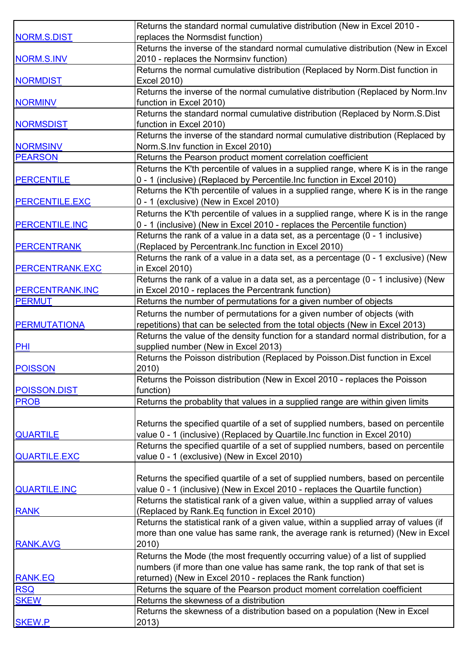|                        | Returns the standard normal cumulative distribution (New in Excel 2010 -             |
|------------------------|--------------------------------------------------------------------------------------|
| <b>NORM.S.DIST</b>     | replaces the Normsdist function)                                                     |
|                        | Returns the inverse of the standard normal cumulative distribution (New in Excel     |
| NORM.S.INV             | 2010 - replaces the Normsinv function)                                               |
|                        | Returns the normal cumulative distribution (Replaced by Norm.Dist function in        |
| <b>NORMDIST</b>        | Excel 2010)                                                                          |
|                        | Returns the inverse of the normal cumulative distribution (Replaced by Norm.Inv      |
| <b>NORMINV</b>         | function in Excel 2010)                                                              |
|                        | Returns the standard normal cumulative distribution (Replaced by Norm.S.Dist         |
| <b>NORMSDIST</b>       | function in Excel 2010)                                                              |
|                        | Returns the inverse of the standard normal cumulative distribution (Replaced by      |
| <b>NORMSINV</b>        | Norm.S.Inv function in Excel 2010)                                                   |
| <b>PEARSON</b>         | Returns the Pearson product moment correlation coefficient                           |
|                        | Returns the K'th percentile of values in a supplied range, where K is in the range   |
| <b>PERCENTILE</b>      | 0 - 1 (inclusive) (Replaced by Percentile. Inc function in Excel 2010)               |
|                        | Returns the K'th percentile of values in a supplied range, where K is in the range   |
| <b>PERCENTILE.EXC</b>  | 0 - 1 (exclusive) (New in Excel 2010)                                                |
|                        |                                                                                      |
|                        | Returns the K'th percentile of values in a supplied range, where K is in the range   |
| <b>PERCENTILE.INC</b>  | 0 - 1 (inclusive) (New in Excel 2010 - replaces the Percentile function)             |
|                        | Returns the rank of a value in a data set, as a percentage (0 - 1 inclusive)         |
| <b>PERCENTRANK</b>     | (Replaced by Percentrank. Inc function in Excel 2010)                                |
|                        | Returns the rank of a value in a data set, as a percentage (0 - 1 exclusive) (New    |
| <b>PERCENTRANK.EXC</b> | in Excel 2010)                                                                       |
|                        | Returns the rank of a value in a data set, as a percentage (0 - 1 inclusive) (New    |
| <b>PERCENTRANK.INC</b> | in Excel 2010 - replaces the Percentrank function)                                   |
| <b>PERMUT</b>          | Returns the number of permutations for a given number of objects                     |
|                        | Returns the number of permutations for a given number of objects (with               |
| <b>PERMUTATIONA</b>    | repetitions) that can be selected from the total objects (New in Excel 2013)         |
|                        | Returns the value of the density function for a standard normal distribution, for a  |
| PHI                    | supplied number (New in Excel 2013)                                                  |
|                        | Returns the Poisson distribution (Replaced by Poisson. Dist function in Excel        |
| <b>POISSON</b>         | 2010)                                                                                |
|                        | Returns the Poisson distribution (New in Excel 2010 - replaces the Poisson           |
| POISSON.DIST           | function)                                                                            |
| <b>PROB</b>            | Returns the probablity that values in a supplied range are within given limits       |
|                        |                                                                                      |
|                        | Returns the specified quartile of a set of supplied numbers, based on percentile     |
| <b>QUARTILE</b>        | value 0 - 1 (inclusive) (Replaced by Quartile. Inc function in Excel 2010)           |
|                        | Returns the specified quartile of a set of supplied numbers, based on percentile     |
| <b>QUARTILE.EXC</b>    | value 0 - 1 (exclusive) (New in Excel 2010)                                          |
|                        |                                                                                      |
|                        | Returns the specified quartile of a set of supplied numbers, based on percentile     |
| <b>QUARTILE.INC</b>    | value 0 - 1 (inclusive) (New in Excel 2010 - replaces the Quartile function)         |
|                        | Returns the statistical rank of a given value, within a supplied array of values     |
| <b>RANK</b>            | (Replaced by Rank. Eq function in Excel 2010)                                        |
|                        | Returns the statistical rank of a given value, within a supplied array of values (if |
|                        | more than one value has same rank, the average rank is returned) (New in Excel       |
| <b>RANK.AVG</b>        | 2010)                                                                                |
|                        | Returns the Mode (the most frequently occurring value) of a list of supplied         |
|                        | numbers (if more than one value has same rank, the top rank of that set is           |
| <b>RANK.EQ</b>         | returned) (New in Excel 2010 - replaces the Rank function)                           |
| <b>RSQ</b>             | Returns the square of the Pearson product moment correlation coefficient             |
| <b>SKEW</b>            | Returns the skewness of a distribution                                               |
|                        | Returns the skewness of a distribution based on a population (New in Excel           |
| <b>SKEW.P</b>          | 2013)                                                                                |
|                        |                                                                                      |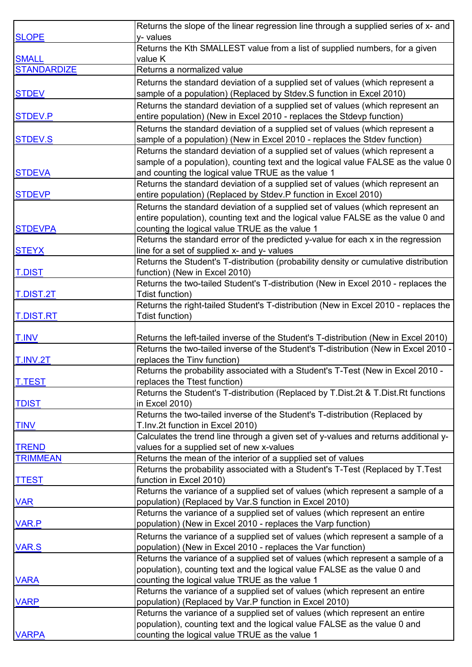|                    | Returns the slope of the linear regression line through a supplied series of x- and           |
|--------------------|-----------------------------------------------------------------------------------------------|
| <b>SLOPE</b>       | y- values                                                                                     |
|                    | Returns the Kth SMALLEST value from a list of supplied numbers, for a given                   |
| <b>SMALL</b>       | value K                                                                                       |
| <b>STANDARDIZE</b> | Returns a normalized value                                                                    |
|                    | Returns the standard deviation of a supplied set of values (which represent a                 |
| <b>STDEV</b>       | sample of a population) (Replaced by Stdev.S function in Excel 2010)                          |
|                    | Returns the standard deviation of a supplied set of values (which represent an                |
| STDEV.P            | entire population) (New in Excel 2010 - replaces the Stdevp function)                         |
|                    | Returns the standard deviation of a supplied set of values (which represent a                 |
| <b>STDEV.S</b>     | sample of a population) (New in Excel 2010 - replaces the Stdev function)                     |
|                    | Returns the standard deviation of a supplied set of values (which represent a                 |
|                    | sample of a population), counting text and the logical value FALSE as the value 0             |
| <b>STDEVA</b>      | and counting the logical value TRUE as the value 1                                            |
|                    | Returns the standard deviation of a supplied set of values (which represent an                |
| <b>STDEVP</b>      | entire population) (Replaced by Stdev.P function in Excel 2010)                               |
|                    | Returns the standard deviation of a supplied set of values (which represent an                |
|                    | entire population), counting text and the logical value FALSE as the value 0 and              |
| <b>STDEVPA</b>     | counting the logical value TRUE as the value 1                                                |
|                    | Returns the standard error of the predicted y-value for each x in the regression              |
| <b>STEYX</b>       | line for a set of supplied x- and y- values                                                   |
|                    | Returns the Student's T-distribution (probability density or cumulative distribution          |
| <b>T.DIST</b>      | function) (New in Excel 2010)                                                                 |
|                    | Returns the two-tailed Student's T-distribution (New in Excel 2010 - replaces the             |
| <b>T.DIST.2T</b>   | Tdist function)                                                                               |
|                    | Returns the right-tailed Student's T-distribution (New in Excel 2010 - replaces the           |
| <b>T.DIST.RT</b>   | Tdist function)                                                                               |
|                    |                                                                                               |
| <b>T.INV</b>       | Returns the left-tailed inverse of the Student's T-distribution (New in Excel 2010)           |
|                    | Returns the two-tailed inverse of the Student's T-distribution (New in Excel 2010 -           |
| T.INV.2T           | replaces the Tinv function)                                                                   |
|                    | Returns the probability associated with a Student's T-Test (New in Excel 2010 -               |
| <b>T.TEST</b>      | replaces the Ttest function)                                                                  |
|                    | Returns the Student's T-distribution (Replaced by T.Dist.2t & T.Dist.Rt functions             |
| <b>TDIST</b>       | in Excel 2010)<br>Returns the two-tailed inverse of the Student's T-distribution (Replaced by |
| <b>TINV</b>        | T.Inv.2t function in Excel 2010)                                                              |
|                    | Calculates the trend line through a given set of y-values and returns additional y-           |
| <b>TREND</b>       | values for a supplied set of new x-values                                                     |
| <b>TRIMMEAN</b>    | Returns the mean of the interior of a supplied set of values                                  |
|                    | Returns the probability associated with a Student's T-Test (Replaced by T.Test                |
| <b>TTEST</b>       | function in Excel 2010)                                                                       |
|                    | Returns the variance of a supplied set of values (which represent a sample of a               |
| <b>VAR</b>         | population) (Replaced by Var.S function in Excel 2010)                                        |
|                    | Returns the variance of a supplied set of values (which represent an entire                   |
| <b>VAR.P</b>       | population) (New in Excel 2010 - replaces the Varp function)                                  |
|                    | Returns the variance of a supplied set of values (which represent a sample of a               |
| <b>VAR.S</b>       | population) (New in Excel 2010 - replaces the Var function)                                   |
|                    | Returns the variance of a supplied set of values (which represent a sample of a               |
|                    | population), counting text and the logical value FALSE as the value 0 and                     |
| <b>VARA</b>        | counting the logical value TRUE as the value 1                                                |
|                    | Returns the variance of a supplied set of values (which represent an entire                   |
| <b>VARP</b>        | population) (Replaced by Var.P function in Excel 2010)                                        |
|                    | Returns the variance of a supplied set of values (which represent an entire                   |
|                    | population), counting text and the logical value FALSE as the value 0 and                     |
| <b>VARPA</b>       | counting the logical value TRUE as the value 1                                                |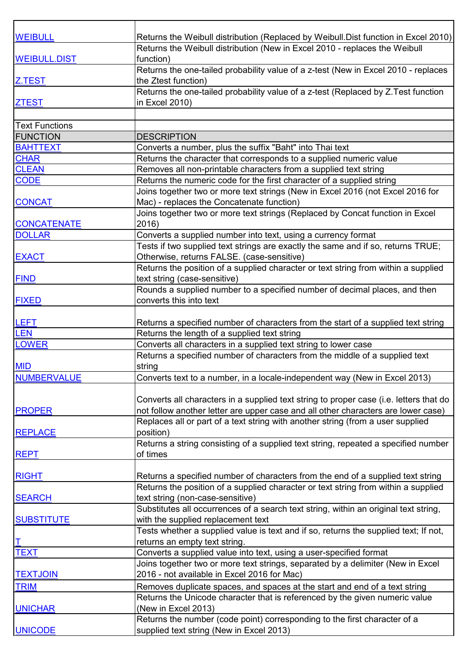| <b>WEIBULL</b>        | Returns the Weibull distribution (Replaced by Weibull Dist function in Excel 2010)     |
|-----------------------|----------------------------------------------------------------------------------------|
|                       | Returns the Weibull distribution (New in Excel 2010 - replaces the Weibull             |
| <b>WEIBULL.DIST</b>   | function)                                                                              |
|                       | Returns the one-tailed probability value of a z-test (New in Excel 2010 - replaces     |
| Z.TEST                | the Ztest function)                                                                    |
|                       | Returns the one-tailed probability value of a z-test (Replaced by Z.Test function      |
| <b>ZTEST</b>          | in Excel 2010)                                                                         |
|                       |                                                                                        |
| <b>Text Functions</b> |                                                                                        |
| <b>FUNCTION</b>       | <b>DESCRIPTION</b>                                                                     |
| <b>BAHTTEXT</b>       | Converts a number, plus the suffix "Baht" into Thai text                               |
| <b>CHAR</b>           | Returns the character that corresponds to a supplied numeric value                     |
| <b>CLEAN</b>          | Removes all non-printable characters from a supplied text string                       |
| <b>CODE</b>           | Returns the numeric code for the first character of a supplied string                  |
|                       | Joins together two or more text strings (New in Excel 2016 (not Excel 2016 for         |
| <b>CONCAT</b>         | Mac) - replaces the Concatenate function)                                              |
|                       | Joins together two or more text strings (Replaced by Concat function in Excel          |
| <b>CONCATENATE</b>    | 2016)                                                                                  |
|                       |                                                                                        |
| <b>DOLLAR</b>         | Converts a supplied number into text, using a currency format                          |
|                       | Tests if two supplied text strings are exactly the same and if so, returns TRUE;       |
| <b>EXACT</b>          | Otherwise, returns FALSE. (case-sensitive)                                             |
|                       | Returns the position of a supplied character or text string from within a supplied     |
| <b>FIND</b>           | text string (case-sensitive)                                                           |
|                       | Rounds a supplied number to a specified number of decimal places, and then             |
| <b>FIXED</b>          | converts this into text                                                                |
|                       |                                                                                        |
| <b>LEFT</b>           | Returns a specified number of characters from the start of a supplied text string      |
| <b>LEN</b>            | Returns the length of a supplied text string                                           |
| <b>LOWER</b>          | Converts all characters in a supplied text string to lower case                        |
|                       | Returns a specified number of characters from the middle of a supplied text            |
| <b>MID</b>            | string                                                                                 |
| <b>NUMBERVALUE</b>    | Converts text to a number, in a locale-independent way (New in Excel 2013)             |
|                       |                                                                                        |
|                       | Converts all characters in a supplied text string to proper case (i.e. letters that do |
| <b>PROPER</b>         | not follow another letter are upper case and all other characters are lower case)      |
|                       | Replaces all or part of a text string with another string (from a user supplied        |
| <b>REPLACE</b>        | position)                                                                              |
|                       | Returns a string consisting of a supplied text string, repeated a specified number     |
| <b>REPT</b>           | of times                                                                               |
|                       |                                                                                        |
| <b>RIGHT</b>          | Returns a specified number of characters from the end of a supplied text string        |
|                       | Returns the position of a supplied character or text string from within a supplied     |
| <b>SEARCH</b>         | text string (non-case-sensitive)                                                       |
|                       | Substitutes all occurrences of a search text string, within an original text string,   |
| <b>SUBSTITUTE</b>     | with the supplied replacement text                                                     |
|                       | Tests whether a supplied value is text and if so, returns the supplied text; If not,   |
| T                     | returns an empty text string.                                                          |
| <b>TEXT</b>           | Converts a supplied value into text, using a user-specified format                     |
|                       | Joins together two or more text strings, separated by a delimiter (New in Excel        |
| <b>TEXTJOIN</b>       | 2016 - not available in Excel 2016 for Mac)                                            |
| <b>TRIM</b>           | Removes duplicate spaces, and spaces at the start and end of a text string             |
|                       | Returns the Unicode character that is referenced by the given numeric value            |
| <b>UNICHAR</b>        | (New in Excel 2013)                                                                    |
|                       | Returns the number (code point) corresponding to the first character of a              |
| <b>UNICODE</b>        | supplied text string (New in Excel 2013)                                               |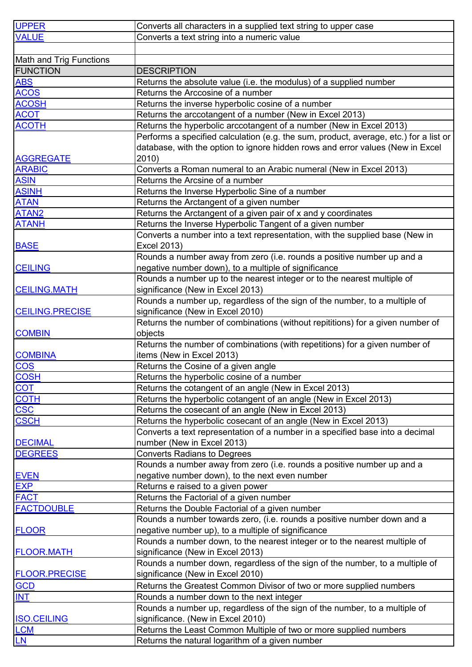| <b>UPPER</b>                                      | Converts all characters in a supplied text string to upper case                       |
|---------------------------------------------------|---------------------------------------------------------------------------------------|
| <b>VALUE</b>                                      | Converts a text string into a numeric value                                           |
|                                                   |                                                                                       |
|                                                   |                                                                                       |
| <b>Math and Trig Functions</b><br><b>FUNCTION</b> |                                                                                       |
|                                                   | <b>DESCRIPTION</b>                                                                    |
| <b>ABS</b>                                        | Returns the absolute value (i.e. the modulus) of a supplied number                    |
| <b>ACOS</b>                                       | Returns the Arccosine of a number                                                     |
| <b>ACOSH</b>                                      | Returns the inverse hyperbolic cosine of a number                                     |
| <b>ACOT</b>                                       | Returns the arccotangent of a number (New in Excel 2013)                              |
| <b>ACOTH</b>                                      | Returns the hyperbolic arccotangent of a number (New in Excel 2013)                   |
|                                                   | Performs a specified calculation (e.g. the sum, product, average, etc.) for a list or |
|                                                   | database, with the option to ignore hidden rows and error values (New in Excel        |
| <b>AGGREGATE</b>                                  | 2010)                                                                                 |
| <b>ARABIC</b>                                     | Converts a Roman numeral to an Arabic numeral (New in Excel 2013)                     |
| <b>ASIN</b>                                       | Returns the Arcsine of a number                                                       |
| <b>ASINH</b>                                      | Returns the Inverse Hyperbolic Sine of a number                                       |
| <b>ATAN</b>                                       | Returns the Arctangent of a given number                                              |
| ATAN <sub>2</sub>                                 | Returns the Arctangent of a given pair of x and y coordinates                         |
| <b>ATANH</b>                                      | Returns the Inverse Hyperbolic Tangent of a given number                              |
|                                                   | Converts a number into a text representation, with the supplied base (New in          |
| <b>BASE</b>                                       | Excel 2013)                                                                           |
|                                                   | Rounds a number away from zero (i.e. rounds a positive number up and a                |
| <b>CEILING</b>                                    | negative number down), to a multiple of significance                                  |
|                                                   | Rounds a number up to the nearest integer or to the nearest multiple of               |
| <b>CEILING.MATH</b>                               | significance (New in Excel 2013)                                                      |
|                                                   | Rounds a number up, regardless of the sign of the number, to a multiple of            |
| <b>CEILING.PRECISE</b>                            | significance (New in Excel 2010)                                                      |
|                                                   | Returns the number of combinations (without repititions) for a given number of        |
| <b>COMBIN</b>                                     | objects                                                                               |
|                                                   | Returns the number of combinations (with repetitions) for a given number of           |
| <b>COMBINA</b>                                    | items (New in Excel 2013)                                                             |
| <b>COS</b>                                        | Returns the Cosine of a given angle                                                   |
| <b>COSH</b>                                       | Returns the hyperbolic cosine of a number                                             |
| <b>COT</b>                                        | Returns the cotangent of an angle (New in Excel 2013)                                 |
| <b>COTH</b>                                       | Returns the hyperbolic cotangent of an angle (New in Excel 2013)                      |
| <b>CSC</b>                                        | Returns the cosecant of an angle (New in Excel 2013)                                  |
| <b>CSCH</b>                                       | Returns the hyperbolic cosecant of an angle (New in Excel 2013)                       |
|                                                   | Converts a text representation of a number in a specified base into a decimal         |
| <b>DECIMAL</b>                                    | number (New in Excel 2013)                                                            |
| <b>DEGREES</b>                                    | <b>Converts Radians to Degrees</b>                                                    |
|                                                   | Rounds a number away from zero (i.e. rounds a positive number up and a                |
| <b>EVEN</b>                                       | negative number down), to the next even number                                        |
| <b>EXP</b>                                        |                                                                                       |
|                                                   | Returns e raised to a given power                                                     |
| <b>FACT</b>                                       | Returns the Factorial of a given number                                               |
| <b>FACTDOUBLE</b>                                 | Returns the Double Factorial of a given number                                        |
|                                                   | Rounds a number towards zero, (i.e. rounds a positive number down and a               |
| <b>FLOOR</b>                                      | negative number up), to a multiple of significance                                    |
|                                                   | Rounds a number down, to the nearest integer or to the nearest multiple of            |
| <b>FLOOR.MATH</b>                                 | significance (New in Excel 2013)                                                      |
|                                                   | Rounds a number down, regardless of the sign of the number, to a multiple of          |
| <b>FLOOR.PRECISE</b>                              | significance (New in Excel 2010)                                                      |
| <b>GCD</b>                                        | Returns the Greatest Common Divisor of two or more supplied numbers                   |
| <b>INT</b>                                        | Rounds a number down to the next integer                                              |
|                                                   | Rounds a number up, regardless of the sign of the number, to a multiple of            |
| <b>ISO.CEILING</b>                                | significance. (New in Excel 2010)                                                     |
| <b>LCM</b>                                        | Returns the Least Common Multiple of two or more supplied numbers                     |
| LN                                                | Returns the natural logarithm of a given number                                       |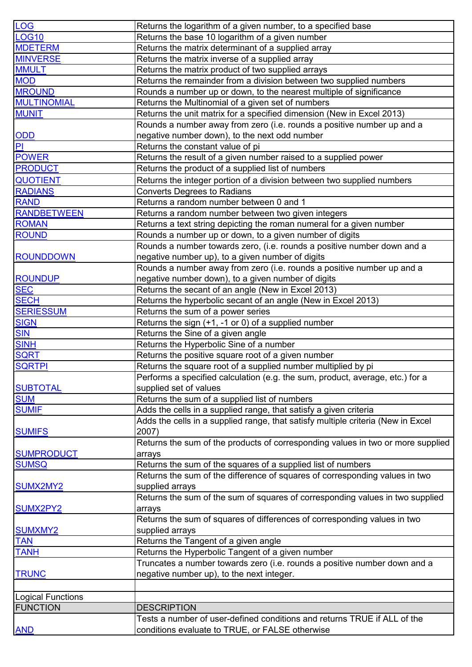| <b>LOG</b>               | Returns the logarithm of a given number, to a specified base                     |
|--------------------------|----------------------------------------------------------------------------------|
| <b>LOG10</b>             | Returns the base 10 logarithm of a given number                                  |
| <b>MDETERM</b>           | Returns the matrix determinant of a supplied array                               |
| <b>MINVERSE</b>          | Returns the matrix inverse of a supplied array                                   |
| <b>MMULT</b>             | Returns the matrix product of two supplied arrays                                |
| <b>MOD</b>               | Returns the remainder from a division between two supplied numbers               |
| <b>MROUND</b>            | Rounds a number up or down, to the nearest multiple of significance              |
| <b>MULTINOMIAL</b>       | Returns the Multinomial of a given set of numbers                                |
| <b>MUNIT</b>             | Returns the unit matrix for a specified dimension (New in Excel 2013)            |
|                          | Rounds a number away from zero (i.e. rounds a positive number up and a           |
| ODD                      | negative number down), to the next odd number                                    |
| P                        | Returns the constant value of pi                                                 |
| <b>POWER</b>             | Returns the result of a given number raised to a supplied power                  |
| <b>PRODUCT</b>           | Returns the product of a supplied list of numbers                                |
| <b>QUOTIENT</b>          | Returns the integer portion of a division between two supplied numbers           |
| <b>RADIANS</b>           | <b>Converts Degrees to Radians</b>                                               |
| <b>RAND</b>              | Returns a random number between 0 and 1                                          |
| <b>RANDBETWEEN</b>       | Returns a random number between two given integers                               |
| <b>ROMAN</b>             | Returns a text string depicting the roman numeral for a given number             |
| <b>ROUND</b>             | Rounds a number up or down, to a given number of digits                          |
|                          | Rounds a number towards zero, (i.e. rounds a positive number down and a          |
| <b>ROUNDDOWN</b>         | negative number up), to a given number of digits                                 |
|                          | Rounds a number away from zero (i.e. rounds a positive number up and a           |
| <b>ROUNDUP</b>           | negative number down), to a given number of digits                               |
| <b>SEC</b>               | Returns the secant of an angle (New in Excel 2013)                               |
| <b>SECH</b>              | Returns the hyperbolic secant of an angle (New in Excel 2013)                    |
| <b>SERIESSUM</b>         | Returns the sum of a power series                                                |
| <b>SIGN</b>              | Returns the sign (+1, -1 or 0) of a supplied number                              |
| <b>SIN</b>               | Returns the Sine of a given angle                                                |
| <b>SINH</b>              | Returns the Hyperbolic Sine of a number                                          |
| <b>SQRT</b>              | Returns the positive square root of a given number                               |
| <b>SQRTPI</b>            | Returns the square root of a supplied number multiplied by pi                    |
|                          | Performs a specified calculation (e.g. the sum, product, average, etc.) for a    |
| <b>SUBTOTAL</b>          | supplied set of values                                                           |
| <b>SUM</b>               | Returns the sum of a supplied list of numbers                                    |
| <b>SUMIF</b>             | Adds the cells in a supplied range, that satisfy a given criteria                |
|                          | Adds the cells in a supplied range, that satisfy multiple criteria (New in Excel |
| <b>SUMIFS</b>            | 2007)                                                                            |
|                          | Returns the sum of the products of corresponding values in two or more supplied  |
| <b>SUMPRODUCT</b>        | arrays                                                                           |
| <b>SUMSQ</b>             | Returns the sum of the squares of a supplied list of numbers                     |
|                          | Returns the sum of the difference of squares of corresponding values in two      |
| SUMX2MY2                 | supplied arrays                                                                  |
|                          | Returns the sum of the sum of squares of corresponding values in two supplied    |
| SUMX2PY2                 | arrays                                                                           |
|                          | Returns the sum of squares of differences of corresponding values in two         |
| <b>SUMXMY2</b>           | supplied arrays                                                                  |
| <b>TAN</b>               | Returns the Tangent of a given angle                                             |
| <b>TANH</b>              | Returns the Hyperbolic Tangent of a given number                                 |
|                          | Truncates a number towards zero (i.e. rounds a positive number down and a        |
| <b>TRUNC</b>             | negative number up), to the next integer.                                        |
|                          |                                                                                  |
| <b>Logical Functions</b> |                                                                                  |
| <b>FUNCTION</b>          | <b>DESCRIPTION</b>                                                               |
|                          | Tests a number of user-defined conditions and returns TRUE if ALL of the         |
| <b>AND</b>               | conditions evaluate to TRUE, or FALSE otherwise                                  |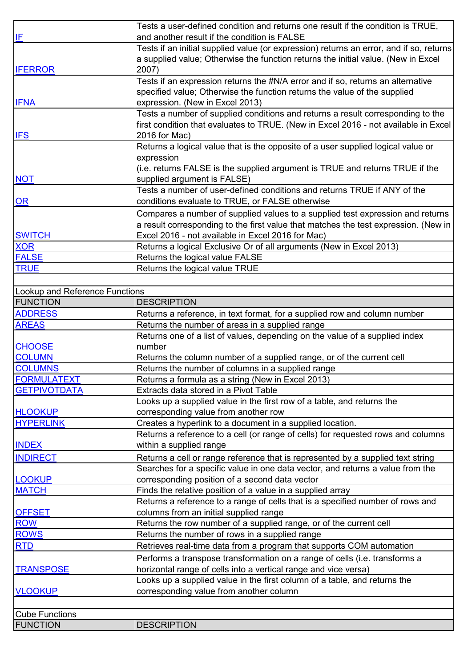|                                | Tests a user-defined condition and returns one result if the condition is TRUE,         |
|--------------------------------|-----------------------------------------------------------------------------------------|
|                                | and another result if the condition is FALSE                                            |
| IF                             |                                                                                         |
|                                | Tests if an initial supplied value (or expression) returns an error, and if so, returns |
|                                | a supplied value; Otherwise the function returns the initial value. (New in Excel       |
| <b>IFERROR</b>                 | 2007)                                                                                   |
|                                | Tests if an expression returns the #N/A error and if so, returns an alternative         |
|                                | specified value; Otherwise the function returns the value of the supplied               |
| <b>IFNA</b>                    | expression. (New in Excel 2013)                                                         |
|                                | Tests a number of supplied conditions and returns a result corresponding to the         |
|                                | first condition that evaluates to TRUE. (New in Excel 2016 - not available in Excel     |
| <b>IFS</b>                     | 2016 for Mac)                                                                           |
|                                |                                                                                         |
|                                | Returns a logical value that is the opposite of a user supplied logical value or        |
|                                | expression                                                                              |
|                                | (i.e. returns FALSE is the supplied argument is TRUE and returns TRUE if the            |
| <b>NOT</b>                     | supplied argument is FALSE)                                                             |
|                                | Tests a number of user-defined conditions and returns TRUE if ANY of the                |
| <b>OR</b>                      | conditions evaluate to TRUE, or FALSE otherwise                                         |
|                                | Compares a number of supplied values to a supplied test expression and returns          |
|                                | a result corresponding to the first value that matches the test expression. (New in     |
| <b>SWITCH</b>                  | Excel 2016 - not available in Excel 2016 for Mac)                                       |
| XOR                            | Returns a logical Exclusive Or of all arguments (New in Excel 2013)                     |
| <b>FALSE</b>                   | Returns the logical value FALSE                                                         |
| <b>TRUE</b>                    |                                                                                         |
|                                | Returns the logical value TRUE                                                          |
|                                |                                                                                         |
| Lookup and Reference Functions |                                                                                         |
| <b>FUNCTION</b>                | <b>DESCRIPTION</b>                                                                      |
| <b>ADDRESS</b>                 | Returns a reference, in text format, for a supplied row and column number               |
| <b>AREAS</b>                   | Returns the number of areas in a supplied range                                         |
|                                | Returns one of a list of values, depending on the value of a supplied index             |
| <b>CHOOSE</b>                  | number                                                                                  |
| <b>COLUMN</b>                  | Returns the column number of a supplied range, or of the current cell                   |
| <b>COLUMNS</b>                 | Returns the number of columns in a supplied range                                       |
| <b>FORMULATEXT</b>             | Returns a formula as a string (New in Excel 2013)                                       |
| <b>GETPIVOTDATA</b>            | Extracts data stored in a Pivot Table                                                   |
|                                | Looks up a supplied value in the first row of a table, and returns the                  |
| <b>HLOOKUP</b>                 | corresponding value from another row                                                    |
| <b>HYPERLINK</b>               | Creates a hyperlink to a document in a supplied location.                               |
|                                | Returns a reference to a cell (or range of cells) for requested rows and columns        |
|                                |                                                                                         |
| <b>INDEX</b>                   | within a supplied range                                                                 |
| <b>INDIRECT</b>                | Returns a cell or range reference that is represented by a supplied text string         |
|                                | Searches for a specific value in one data vector, and returns a value from the          |
| <b>LOOKUP</b>                  | corresponding position of a second data vector                                          |
| <b>MATCH</b>                   | Finds the relative position of a value in a supplied array                              |
|                                | Returns a reference to a range of cells that is a specified number of rows and          |
| <b>OFFSET</b>                  | columns from an initial supplied range                                                  |
| <b>ROW</b>                     | Returns the row number of a supplied range, or of the current cell                      |
| <b>ROWS</b>                    | Returns the number of rows in a supplied range                                          |
| <b>RTD</b>                     | Retrieves real-time data from a program that supports COM automation                    |
|                                | Performs a transpose transformation on a range of cells (i.e. transforms a              |
|                                |                                                                                         |
| <b>TRANSPOSE</b>               | horizontal range of cells into a vertical range and vice versa)                         |
|                                | Looks up a supplied value in the first column of a table, and returns the               |
| <b>VLOOKUP</b>                 | corresponding value from another column                                                 |
|                                |                                                                                         |
| <b>Cube Functions</b>          |                                                                                         |
| <b>FUNCTION</b>                | <b>DESCRIPTION</b>                                                                      |